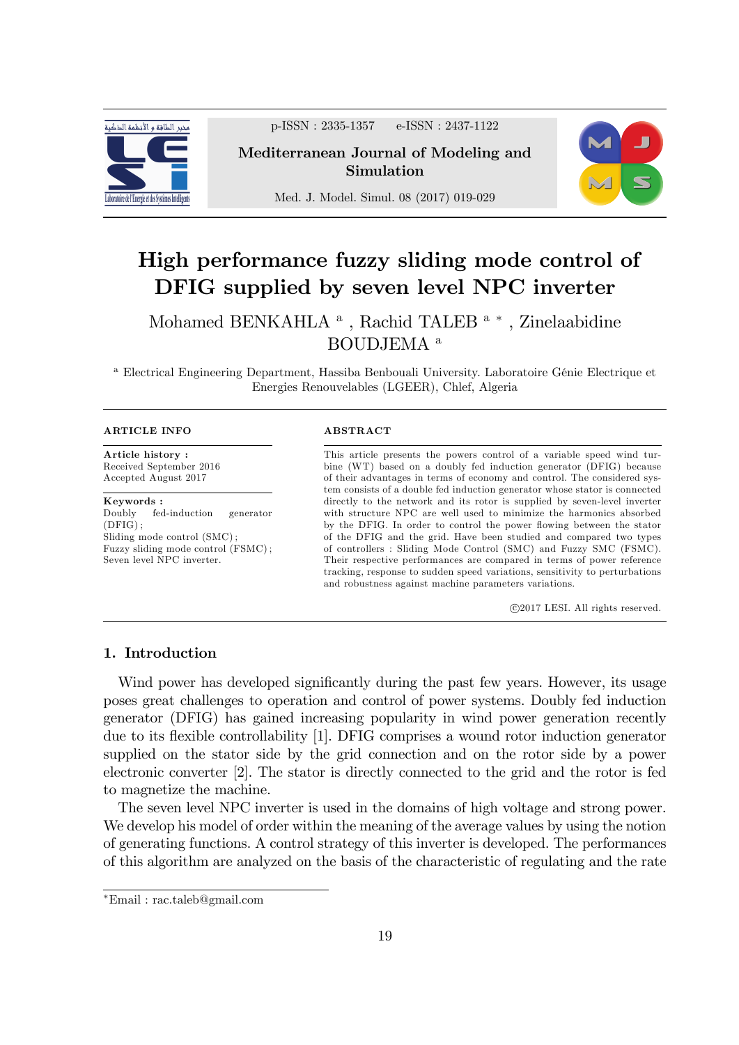

p-ISSN : 2335-1357 e-ISSN : 2437-1122

Mediterranean Journal of Modeling and Simulation



Med. J. Model. Simul. 08 (2017) 019-029

# High performance fuzzy sliding mode control of DFIG supplied by seven level NPC inverter

Mohamed BENKAHLA<sup>a</sup>, Rachid TALEB<sup>a</sup><sup>\*</sup>, Zinelaabidine BOUDJEMA <sup>a</sup>

<sup>a</sup> Electrical Engineering Department, Hassiba Benbouali University. Laboratoire Génie Electrique et Energies Renouvelables (LGEER), Chlef, Algeria

#### ARTICLE INFO

Article history : Received September 2016 Accepted August 2017

**Keywords**:<br>Doubly fed fed-induction generator (DFIG) ; Sliding mode control (SMC) ; Fuzzy sliding mode control (FSMC) ; Seven level NPC inverter.

#### ABSTRACT

This article presents the powers control of a variable speed wind turbine (WT) based on a doubly fed induction generator (DFIG) because of their advantages in terms of economy and control. The considered system consists of a double fed induction generator whose stator is connected directly to the network and its rotor is supplied by seven-level inverter with structure NPC are well used to minimize the harmonics absorbed by the DFIG. In order to control the power flowing between the stator of the DFIG and the grid. Have been studied and compared two types of controllers : Sliding Mode Control (SMC) and Fuzzy SMC (FSMC). Their respective performances are compared in terms of power reference tracking, response to sudden speed variations, sensitivity to perturbations and robustness against machine parameters variations.

c 2017 LESI. All rights reserved.

## 1. Introduction

Wind power has developed significantly during the past few years. However, its usage poses great challenges to operation and control of power systems. Doubly fed induction generator (DFIG) has gained increasing popularity in wind power generation recently due to its flexible controllability [1]. DFIG comprises a wound rotor induction generator supplied on the stator side by the grid connection and on the rotor side by a power electronic converter [2]. The stator is directly connected to the grid and the rotor is fed to magnetize the machine.

The seven level NPC inverter is used in the domains of high voltage and strong power. We develop his model of order within the meaning of the average values by using the notion of generating functions. A control strategy of this inverter is developed. The performances of this algorithm are analyzed on the basis of the characteristic of regulating and the rate

Email : rac.taleb@gmail.com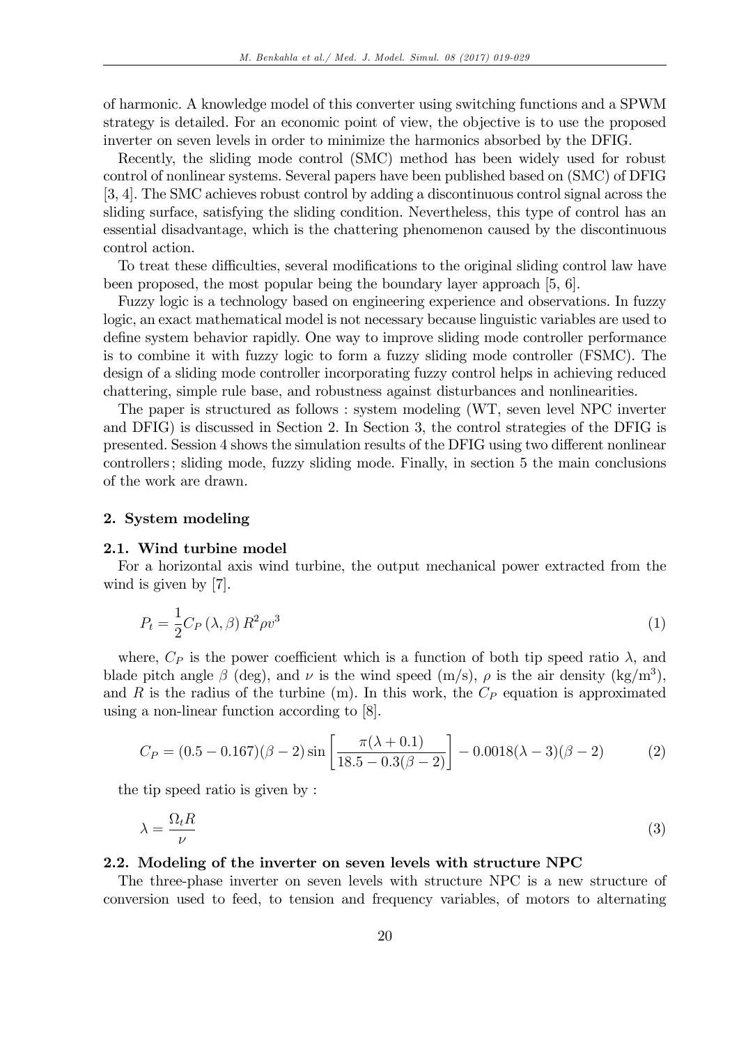of harmonic. A knowledge model of this converter using switching functions and a SPWM strategy is detailed. For an economic point of view, the objective is to use the proposed inverter on seven levels in order to minimize the harmonics absorbed by the DFIG.

Recently, the sliding mode control (SMC) method has been widely used for robust control of nonlinear systems. Several papers have been published based on (SMC) of DFIG [3, 4]. The SMC achieves robust control by adding a discontinuous control signal across the sliding surface, satisfying the sliding condition. Nevertheless, this type of control has an essential disadvantage, which is the chattering phenomenon caused by the discontinuous control action.

To treat these difficulties, several modifications to the original sliding control law have been proposed, the most popular being the boundary layer approach [5, 6].

Fuzzy logic is a technology based on engineering experience and observations. In fuzzy logic, an exact mathematical model is not necessary because linguistic variables are used to define system behavior rapidly. One way to improve sliding mode controller performance is to combine it with fuzzy logic to form a fuzzy sliding mode controller (FSMC). The design of a sliding mode controller incorporating fuzzy control helps in achieving reduced chattering, simple rule base, and robustness against disturbances and nonlinearities.

The paper is structured as follows : system modeling (WT, seven level NPC inverter and DFIG) is discussed in Section 2. In Section 3, the control strategies of the DFIG is presented. Session 4 shows the simulation results of the DFIG using two different nonlinear controllers ; sliding mode, fuzzy sliding mode. Finally, in section 5 the main conclusions of the work are drawn.

#### 2. System modeling

#### 2.1. Wind turbine model

For a horizontal axis wind turbine, the output mechanical power extracted from the wind is given by [7].

$$
P_t = \frac{1}{2} C_P \left( \lambda, \beta \right) R^2 \rho v^3 \tag{1}
$$

where,  $C_P$  is the power coefficient which is a function of both tip speed ratio  $\lambda$ , and blade pitch angle  $\beta$  (deg), and  $\nu$  is the wind speed (m/s),  $\rho$  is the air density (kg/m<sup>3</sup>), and R is the radius of the turbine  $(m)$ . In this work, the  $C_P$  equation is approximated using a non-linear function according to [8].

$$
C_P = (0.5 - 0.167)(\beta - 2)\sin\left[\frac{\pi(\lambda + 0.1)}{18.5 - 0.3(\beta - 2)}\right] - 0.0018(\lambda - 3)(\beta - 2)
$$
 (2)

the tip speed ratio is given by :

$$
\lambda = \frac{\Omega_t R}{\nu} \tag{3}
$$

#### 2.2. Modeling of the inverter on seven levels with structure NPC

The three-phase inverter on seven levels with structure NPC is a new structure of conversion used to feed, to tension and frequency variables, of motors to alternating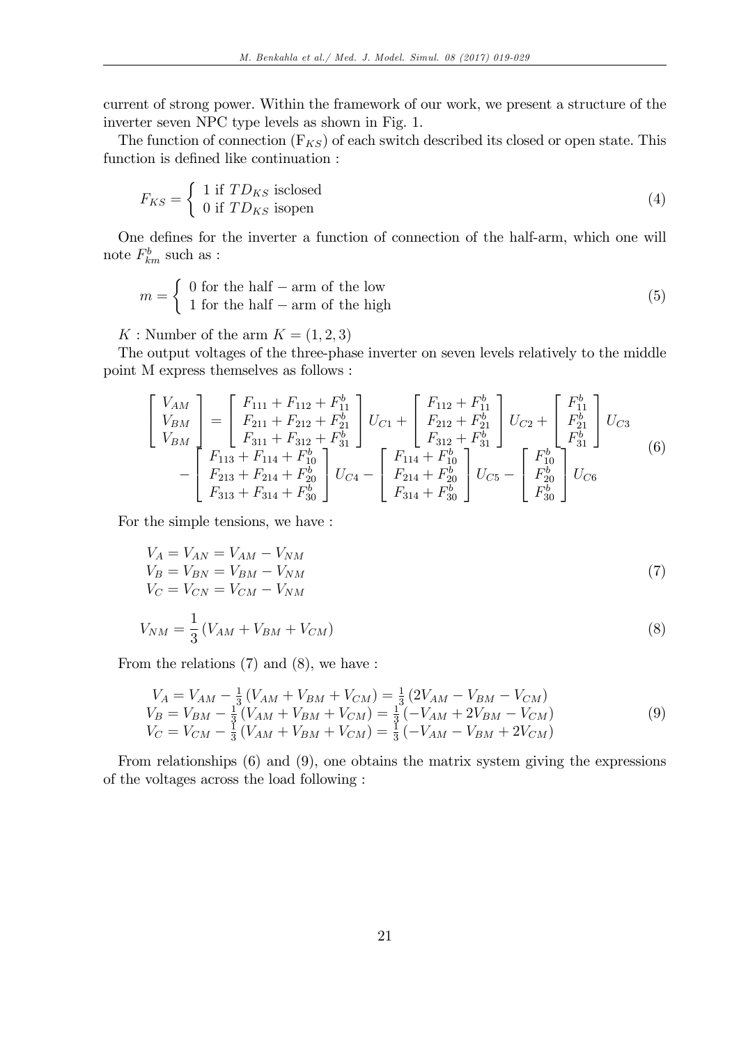current of strong power. Within the framework of our work, we present a structure of the inverter seven NPC type levels as shown in Fig. 1.

The function of connection  $(F_{KS})$  of each switch described its closed or open state. This function is defined like continuation :

$$
F_{KS} = \begin{cases} 1 \text{ if } TD_{KS} \text{ isclosed} \\ 0 \text{ if } TD_{KS} \text{ isopen} \end{cases} \tag{4}
$$

One defines for the inverter a function of connection of the half-arm, which one will note  $F_{km}^b$  such as :

$$
m = \begin{cases} 0 \text{ for the half } - \text{arm of the low} \\ 1 \text{ for the half } - \text{arm of the high} \end{cases}
$$
 (5)

K : Number of the arm  $K = (1, 2, 3)$ 

The output voltages of the three-phase inverter on seven levels relatively to the middle point M express themselves as follows :

$$
\begin{bmatrix}\nV_{AM} \\
V_{BM} \\
V_{BM} \\
\end{bmatrix} = \begin{bmatrix}\nF_{111} + F_{112} + F_{11}^b \\
F_{211} + F_{212} + F_{21}^b \\
F_{311} + F_{312} + F_{31}^b \\
\end{bmatrix} U_{C1} + \begin{bmatrix}\nF_{112} + F_{11}^b \\
F_{212} + F_{21}^b \\
F_{312} + F_{21}^b \\
F_{312} + F_{31}^b \\
\end{bmatrix} U_{C2} + \begin{bmatrix}\nF_{11}^b \\
F_{21}^b \\
F_{31}^b \\
F_{31}^b \\
\end{bmatrix} U_{C3} \\
- \begin{bmatrix}\nF_{113} + F_{114} + F_{10}^b \\
F_{213} + F_{214} + F_{20}^b \\
F_{313} + F_{314} + F_{30}^b\n\end{bmatrix} U_{C4} - \begin{bmatrix}\nF_{114} + F_{10}^b \\
F_{214} + F_{20}^b \\
F_{314} + F_{30}^b\n\end{bmatrix} U_{C5} - \begin{bmatrix}\nF_{10}^b \\
F_{20}^b \\
F_{30}^b\n\end{bmatrix} U_{C6}
$$
\n(6)

For the simple tensions, we have :

$$
V_A = V_{AN} = V_{AM} - V_{NM}
$$
  
\n
$$
V_B = V_{BN} = V_{BM} - V_{NM}
$$
  
\n
$$
V_C = V_{CN} = V_{CM} - V_{NM}
$$
\n(7)

$$
V_{NM} = \frac{1}{3} \left( V_{AM} + V_{BM} + V_{CM} \right) \tag{8}
$$

From the relations (7) and (8), we have :

$$
V_A = V_{AM} - \frac{1}{3} (V_{AM} + V_{BM} + V_{CM}) = \frac{1}{3} (2V_{AM} - V_{BM} - V_{CM})
$$
  
\n
$$
V_B = V_{BM} - \frac{1}{3} (V_{AM} + V_{BM} + V_{CM}) = \frac{1}{3} (-V_{AM} + 2V_{BM} - V_{CM})
$$
  
\n
$$
V_C = V_{CM} - \frac{1}{3} (V_{AM} + V_{BM} + V_{CM}) = \frac{1}{3} (-V_{AM} - V_{BM} + 2V_{CM})
$$
\n(9)

From relationships (6) and (9), one obtains the matrix system giving the expressions of the voltages across the load following :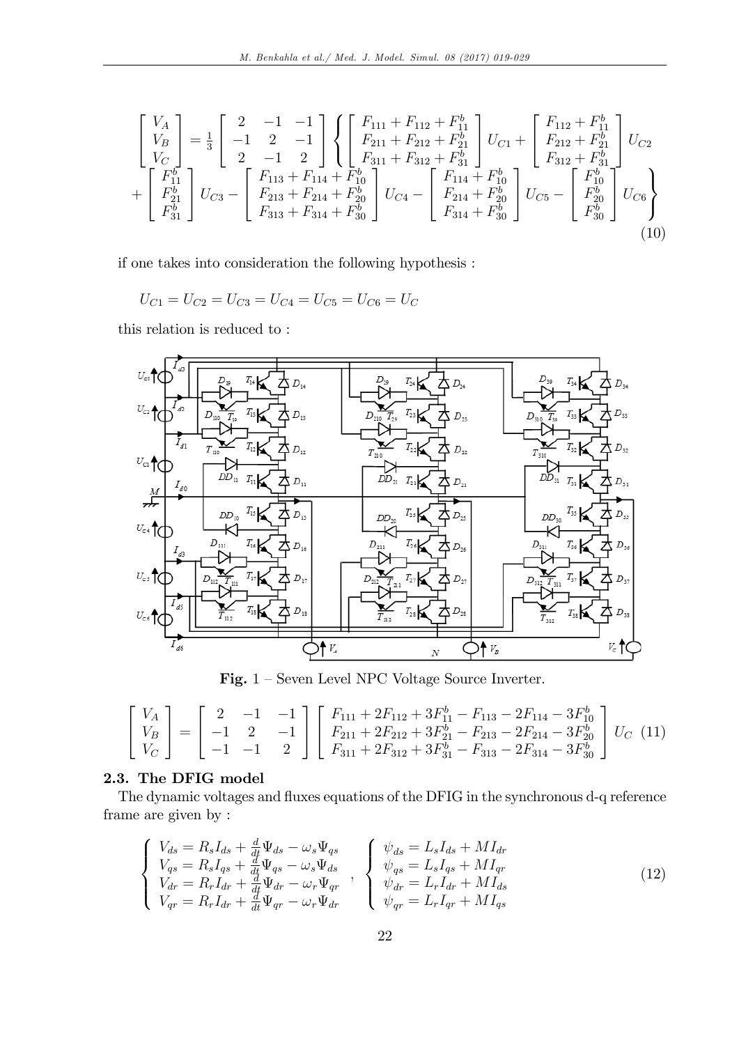$$
\begin{bmatrix}\nV_A \\
V_B \\
V_C \\
V_C\n\end{bmatrix} = \frac{1}{3} \begin{bmatrix}\n2 & -1 & -1 \\
-1 & 2 & -1 \\
2 & -1 & 2\n\end{bmatrix} \begin{Bmatrix}\nF_{111} + F_{112} + F_{11}^b \\
F_{211} + F_{212} + F_{21}^b \\
F_{311} + F_{312} + F_{31}^b\n\end{Bmatrix} U_{C1} + \begin{bmatrix}\nF_{112} + F_{11}^b \\
F_{212} + F_{21}^b \\
F_{312} + F_{31}^b\n\end{bmatrix} U_{C2} \n+ \begin{bmatrix}\nF_{11}^b \\
F_{21}^b \\
F_{31}^b \\
F_{31}^b\n\end{bmatrix} U_{C3} - \begin{bmatrix}\nF_{113} + F_{114} + F_{10}^b \\
F_{213} + F_{20}^b \\
F_{314} + F_{30}^b\n\end{bmatrix} U_{C4} - \begin{bmatrix}\nF_{114} + F_{10}^b \\
F_{214} + F_{20}^b \\
F_{314} + F_{30}^b\n\end{bmatrix} U_{C5} - \begin{bmatrix}\nF_{10}^b \\
F_{20}^b \\
F_{30}^b\n\end{bmatrix} U_{C6} \right\}
$$
\n(10)

if one takes into consideration the following hypothesis :

$$
U_{C1} = U_{C2} = U_{C3} = U_{C4} = U_{C5} = U_{C6} = U_C
$$

this relation is reduced to :



Fig.  $1$  – Seven Level NPC Voltage Source Inverter.

$$
\begin{bmatrix}\nV_A \\
V_B \\
V_C\n\end{bmatrix} = \begin{bmatrix}\n2 & -1 & -1 \\
-1 & 2 & -1 \\
-1 & -1 & 2\n\end{bmatrix} \begin{bmatrix}\nF_{111} + 2F_{112} + 3F_{11}^b - F_{113} - 2F_{114} - 3F_{10}^b \\
F_{211} + 2F_{212} + 3F_{21}^b - F_{213} - 2F_{214} - 3F_{20}^b \\
F_{311} + 2F_{312} + 3F_{31}^b - F_{313} - 2F_{314} - 3F_{30}^b\n\end{bmatrix} U_C \n\tag{11}
$$

# 2.3. The DFIG model

The dynamic voltages and fluxes equations of the DFIG in the synchronous d-q reference frame are given by :

$$
\begin{cases}\nV_{ds} = R_s I_{ds} + \frac{d}{dt} \Psi_{ds} - \omega_s \Psi_{qs} \\
V_{qs} = R_s I_{qs} + \frac{d}{dt} \Psi_{qs} - \omega_s \Psi_{ds} \\
V_{dr} = R_r I_{dr} + \frac{d}{dt} \Psi_{dr} - \omega_r \Psi_{qr} \\
V_{qr} = R_r I_{dr} + \frac{d}{dt} \Psi_{qr} - \omega_r \Psi_{dr}\n\end{cases},\n\begin{cases}\n\psi_{ds} = L_s I_{ds} + MI_{dr} \\
\psi_{qs} = L_s I_{qs} + MI_{qr} \\
\psi_{dr} = L_r I_{dr} + MI_{ds} \\
\psi_{qr} = L_r I_{qr} + MI_{qs}\n\end{cases} (12)
$$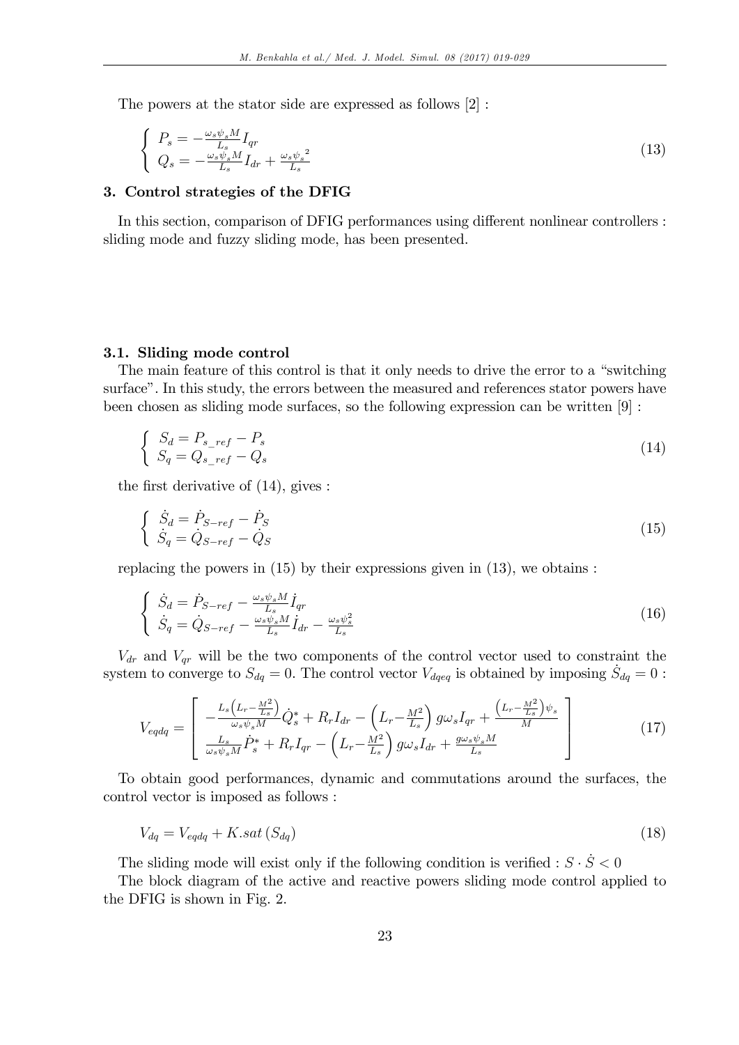The powers at the stator side are expressed as follows [2] :

$$
\begin{cases}\nP_s = -\frac{\omega_s \psi_s M}{L_s} I_{qr} \\
Q_s = -\frac{\omega_s \psi_s M}{L_s} I_{dr} + \frac{\omega_s \psi_s^2}{L_s}\n\end{cases}
$$
\n(13)

#### 3. Control strategies of the DFIG

In this section, comparison of DFIG performances using different nonlinear controllers : sliding mode and fuzzy sliding mode, has been presented.

#### 3.1. Sliding mode control

The main feature of this control is that it only needs to drive the error to a "switching" surfaceî. In this study, the errors between the measured and references stator powers have been chosen as sliding mode surfaces, so the following expression can be written [9] :

$$
\begin{cases}\nS_d = P_{s\_ref} - P_s \\
S_q = Q_{s\_ref} - Q_s\n\end{cases}
$$
\n(14)

the first derivative of  $(14)$ , gives :

$$
\begin{cases}\n\dot{S}_d = \dot{P}_{S-ref} - \dot{P}_S \\
\dot{S}_q = \dot{Q}_{S-ref} - \dot{Q}_S\n\end{cases}
$$
\n(15)

replacing the powers in  $(15)$  by their expressions given in  $(13)$ , we obtains :

$$
\begin{cases}\n\dot{S}_d = \dot{P}_{S-ref} - \frac{\omega_s \psi_s M}{L_s} \dot{I}_{qr} \\
\dot{S}_q = \dot{Q}_{S-ref} - \frac{\omega_s \psi_s M}{L_s} \dot{I}_{dr} - \frac{\omega_s \psi_s^2}{L_s}\n\end{cases}
$$
\n(16)

 $V_{dr}$  and  $V_{qr}$  will be the two components of the control vector used to constraint the system to converge to  $S_{dq} = 0$ . The control vector  $V_{dqeq}$  is obtained by imposing  $\dot{S}_{dq} = 0$ :

$$
V_{\text{eqdq}} = \begin{bmatrix} -\frac{L_s \left( L_r - \frac{M^2}{L_s} \right)}{\omega_s \psi_s M} \dot{Q}_s^* + R_r I_{dr} - \left( L_r - \frac{M^2}{L_s} \right) g \omega_s I_{qr} + \frac{\left( L_r - \frac{M^2}{L_s} \right) \psi_s}{M} \\ \frac{L_s}{\omega_s \psi_s M} \dot{P}_s^* + R_r I_{qr} - \left( L_r - \frac{M^2}{L_s} \right) g \omega_s I_{dr} + \frac{g \omega_s \psi_s M}{L_s} \end{bmatrix} \tag{17}
$$

To obtain good performances, dynamic and commutations around the surfaces, the control vector is imposed as follows :

$$
V_{dq} = V_{eqdq} + K.sat\left(S_{dq}\right) \tag{18}
$$

The sliding mode will exist only if the following condition is verified :  $S \cdot \dot{S} < 0$ 

The block diagram of the active and reactive powers sliding mode control applied to the DFIG is shown in Fig. 2.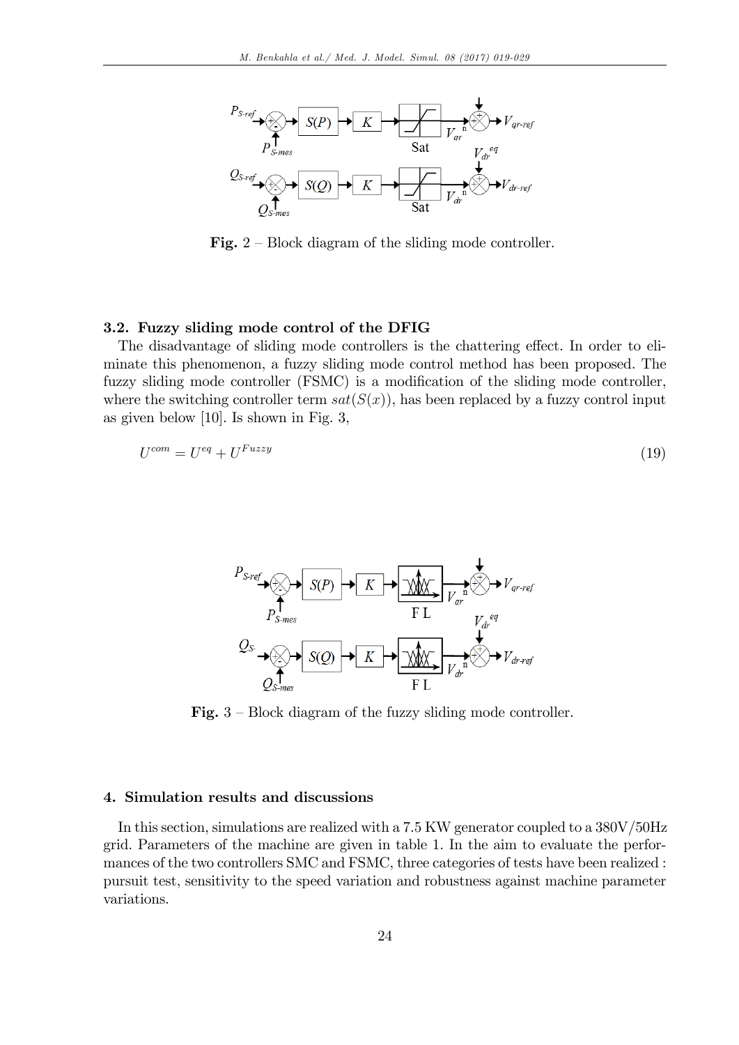

**Fig.**  $2$  – Block diagram of the sliding mode controller.

### 3.2. Fuzzy sliding mode control of the DFIG

The disadvantage of sliding mode controllers is the chattering effect. In order to eliminate this phenomenon, a fuzzy sliding mode control method has been proposed. The fuzzy sliding mode controller (FSMC) is a modification of the sliding mode controller, where the switching controller term  $sat(S(x))$ , has been replaced by a fuzzy control input as given below [10]. Is shown in Fig. 3,

$$
U^{com} = U^{eq} + U^{Fuzzy} \tag{19}
$$



Fig.  $3$  – Block diagram of the fuzzy sliding mode controller.

#### 4. Simulation results and discussions

In this section, simulations are realized with a 7.5 KW generator coupled to a 380V/50Hz grid. Parameters of the machine are given in table 1. In the aim to evaluate the performances of the two controllers SMC and FSMC, three categories of tests have been realized : pursuit test, sensitivity to the speed variation and robustness against machine parameter variations.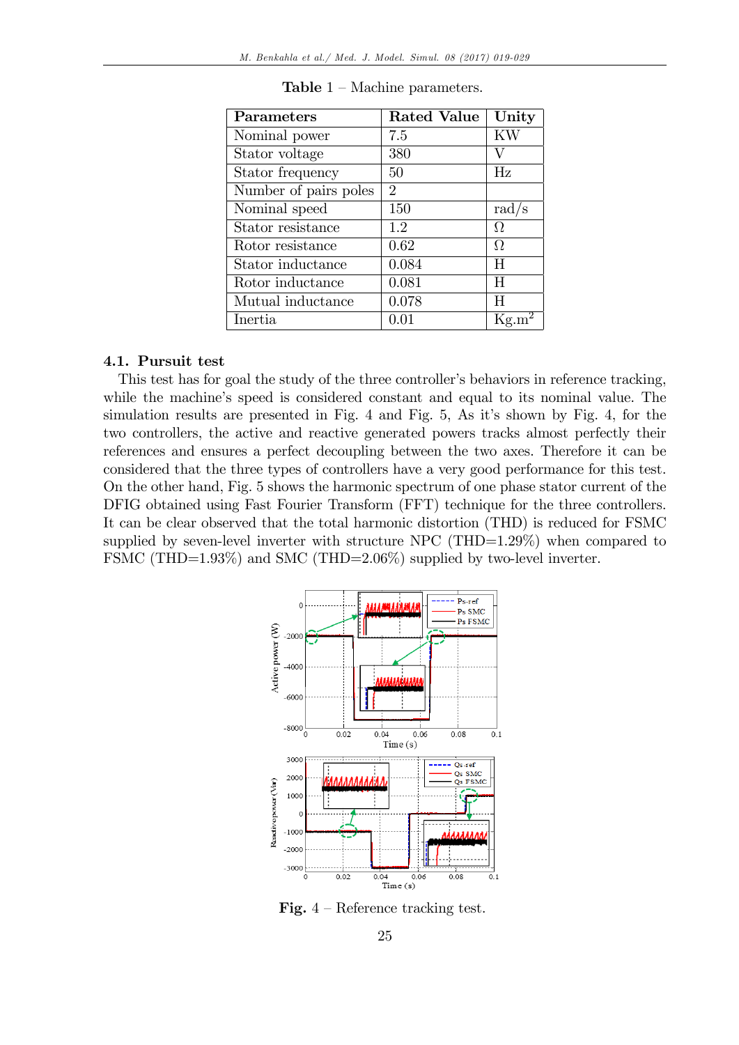| Parameters            | <b>Rated Value</b>          | Unity     |
|-----------------------|-----------------------------|-----------|
| Nominal power         | 7.5                         | <b>KW</b> |
| Stator voltage        | 380                         | V         |
| Stator frequency      | 50                          | Hz        |
| Number of pairs poles | $\mathcal{D}_{\mathcal{L}}$ |           |
| Nominal speed         | 150                         | rad/s     |
| Stator resistance     | 1.2                         | Ω         |
| Rotor resistance      | 0.62                        | Ω         |
| Stator inductance     | 0.084                       | H         |
| Rotor inductance      | 0.081                       | H         |
| Mutual inductance     | 0.078                       | H         |
| Inertia               | $0.01\,$                    | Kg.       |

**Table**  $1 - \text{Machine parameters.}$ 

#### 4.1. Pursuit test

This test has for goal the study of the three controller's behaviors in reference tracking, while the machine's speed is considered constant and equal to its nominal value. The simulation results are presented in Fig. 4 and Fig. 5, As it's shown by Fig. 4, for the two controllers, the active and reactive generated powers tracks almost perfectly their references and ensures a perfect decoupling between the two axes. Therefore it can be considered that the three types of controllers have a very good performance for this test. On the other hand, Fig. 5 shows the harmonic spectrum of one phase stator current of the DFIG obtained using Fast Fourier Transform (FFT) technique for the three controllers. It can be clear observed that the total harmonic distortion (THD) is reduced for FSMC supplied by seven-level inverter with structure NPC (THD= $1.29\%$ ) when compared to FSMC (THD=1.93%) and SMC (THD=2.06%) supplied by two-level inverter.



Fig.  $4$  – Reference tracking test.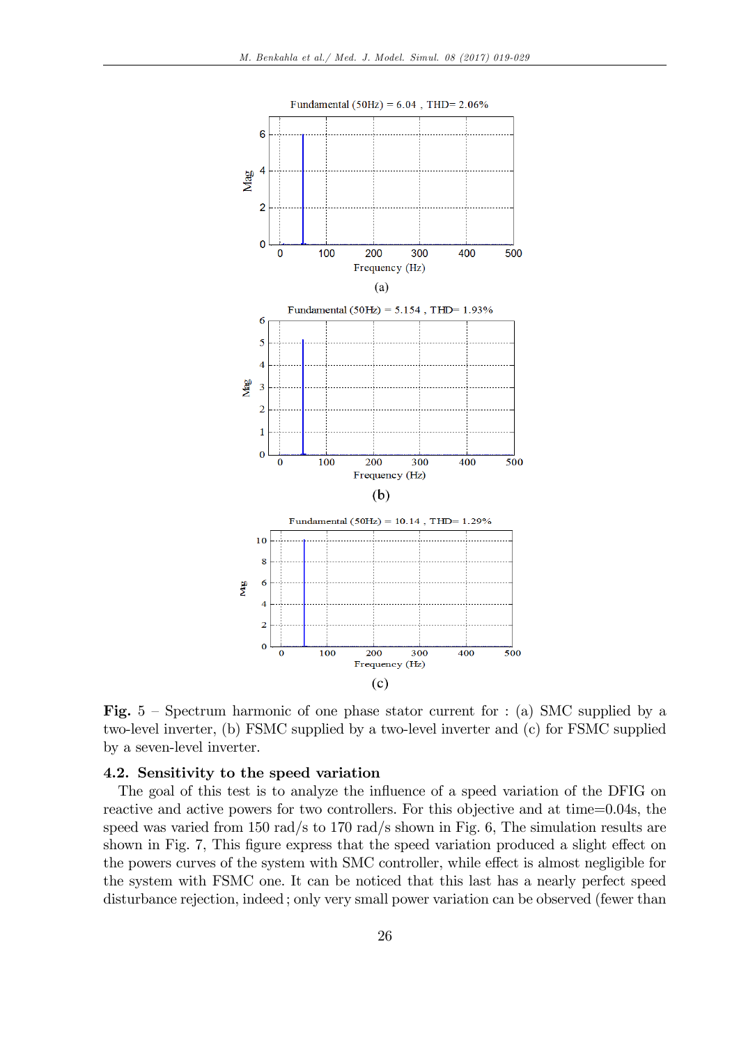

Fig.  $5$  – Spectrum harmonic of one phase stator current for : (a) SMC supplied by a two-level inverter, (b) FSMC supplied by a two-level inverter and (c) for FSMC supplied by a seven-level inverter.

# 4.2. Sensitivity to the speed variation

The goal of this test is to analyze the influence of a speed variation of the DFIG on reactive and active powers for two controllers. For this objective and at time=0.04s, the speed was varied from 150 rad/s to 170 rad/s shown in Fig. 6, The simulation results are shown in Fig. 7, This figure express that the speed variation produced a slight effect on the powers curves of the system with SMC controller, while effect is almost negligible for the system with FSMC one. It can be noticed that this last has a nearly perfect speed disturbance rejection, indeed ; only very small power variation can be observed (fewer than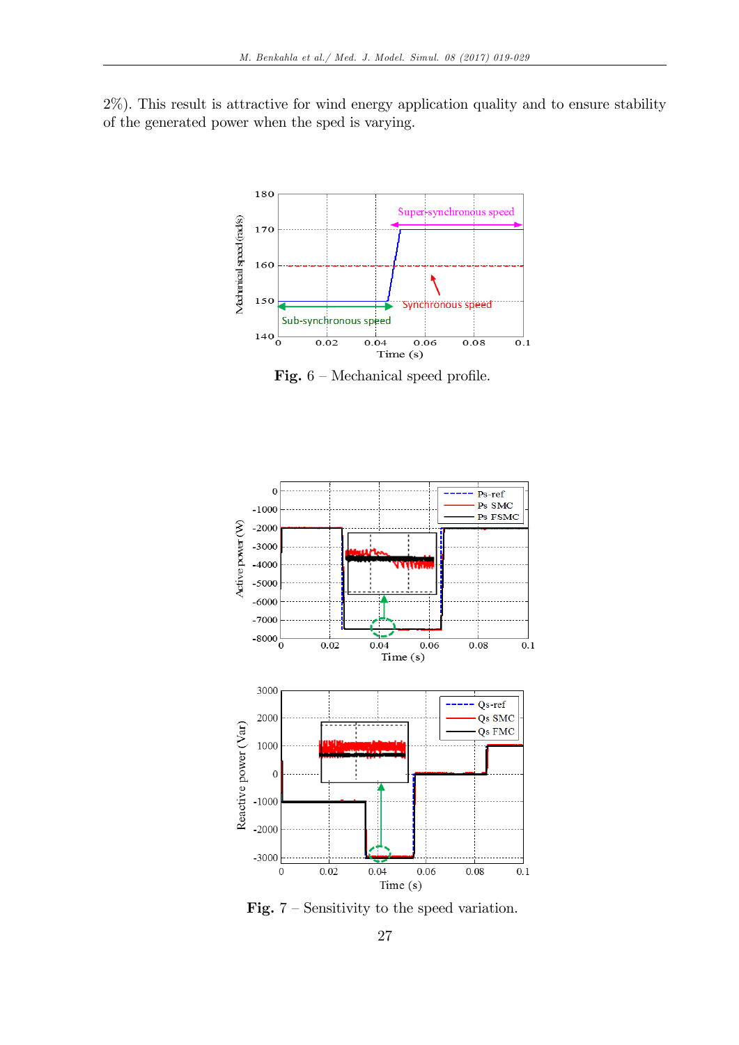2%). This result is attractive for wind energy application quality and to ensure stability of the generated power when the sped is varying.



Fig.  $6$  – Mechanical speed profile.



Fig.  $7$  – Sensitivity to the speed variation.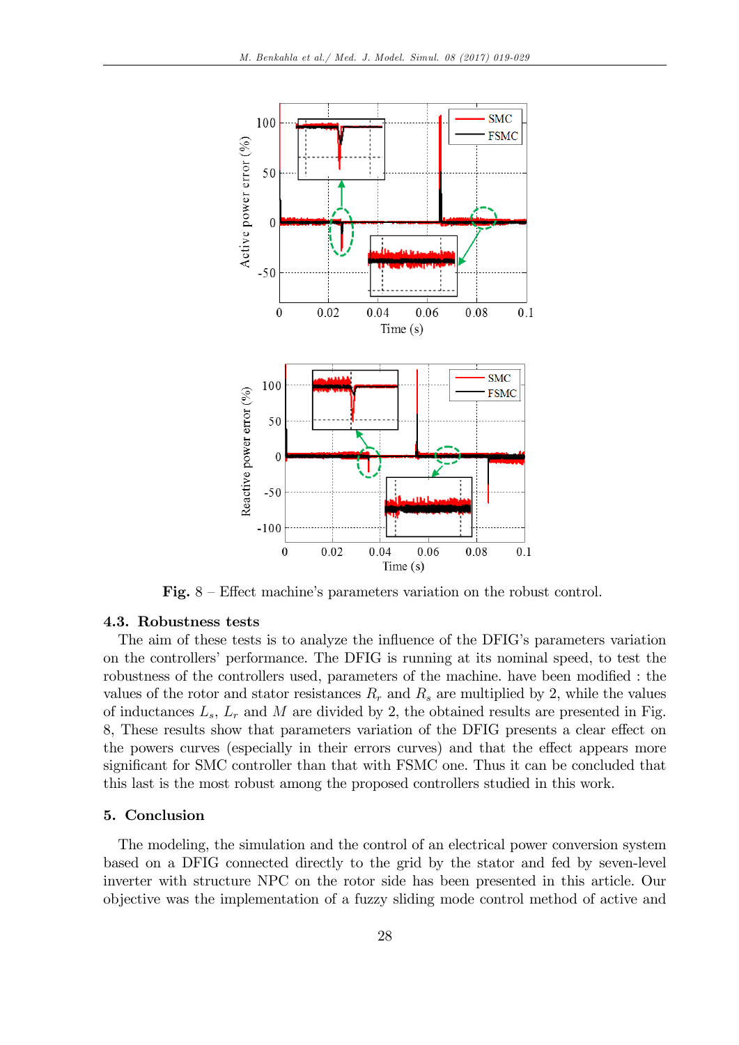

Fig.  $8 -$  Effect machine's parameters variation on the robust control.

#### 4.3. Robustness tests

The aim of these tests is to analyze the influence of the DFIG's parameters variation on the controllers' performance. The DFIG is running at its nominal speed, to test the robustness of the controllers used, parameters of the machine. have been modified : the values of the rotor and stator resistances  $R_r$  and  $R_s$  are multiplied by 2, while the values of inductances  $L_s$ ,  $L_r$  and M are divided by 2, the obtained results are presented in Fig. 8, These results show that parameters variation of the DFIG presents a clear effect on the powers curves (especially in their errors curves) and that the effect appears more significant for SMC controller than that with FSMC one. Thus it can be concluded that this last is the most robust among the proposed controllers studied in this work.

### 5. Conclusion

The modeling, the simulation and the control of an electrical power conversion system based on a DFIG connected directly to the grid by the stator and fed by seven-level inverter with structure NPC on the rotor side has been presented in this article. Our objective was the implementation of a fuzzy sliding mode control method of active and